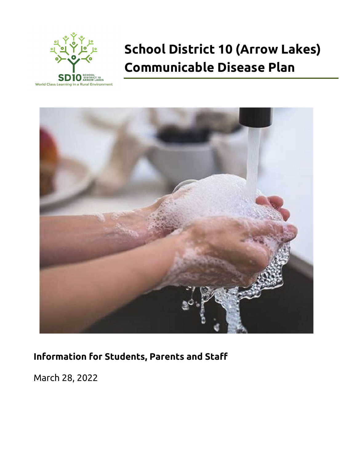

# **School District 10 (Arrow Lakes) Communicable Disease Plan**



# **Information for Students, Parents and Staff**

March 28, 2022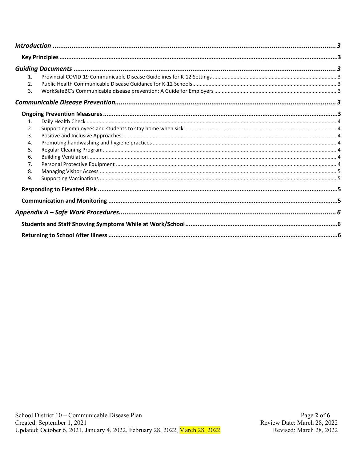| $\mathbf{1}$ .   |  |  |
|------------------|--|--|
| $\mathfrak{D}$ . |  |  |
| 3.               |  |  |
|                  |  |  |
|                  |  |  |
| 1.               |  |  |
| 2.               |  |  |
| 3.               |  |  |
| 4.               |  |  |
| 5.               |  |  |
| 6.               |  |  |
| 7.               |  |  |
| 8.               |  |  |
| 9.               |  |  |
|                  |  |  |
|                  |  |  |
|                  |  |  |
|                  |  |  |
|                  |  |  |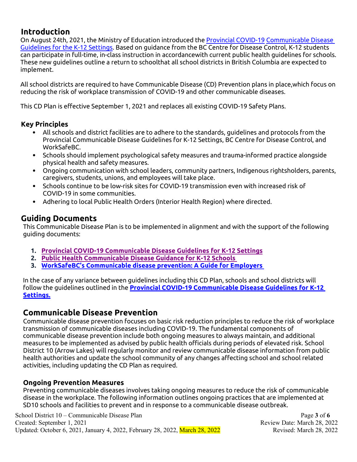## <span id="page-2-0"></span>**Introduction**

On August 24th, 2021, the Ministry of Education introduced the Provincial COVID-19 Communicable Disease Guidelines for the K-12 Settings. Based on guidance from the BC Centre for Disease Control, K-12 students can participate in full-time, in-class instruction in accordance with current public health guidelines for schools. These new guidelines outline a return to schoolthat all school districts in British Columbia are expected to implement.

All school districts are required to have Communicable Disease (CD) Prevention plans in place,which focus on reducing the risk of workplace transmission of COVID-19 and other communicable diseases.

This CD Plan is effective September 1, 2021 and replaces all existing COVID-19 Safety Plans.

#### <span id="page-2-1"></span>**Key Principles**

- All schools and district facilities are to adhere to the standards, guidelines and protocols from the Provincial Communicable Disease Guidelines for K-12 Settings, BC Centre for Disease Control, and WorkSafeBC.
- Schools should implement psychological safety measures and trauma-informed practice alongside physical health and safety measures.
- Ongoing communication with school leaders, community partners, Indigenous rightsholders, parents, caregivers, students, unions, and employees will take place.
- Schools continue to be low-risk sites for COVID-19 transmission even with increased risk of COVID-19 in some communities.
- Adhering to local Public Health Orders (Interior Health Region) where directed.

## <span id="page-2-2"></span>**Guiding Documents**

This Communicable Disease Plan is to be implemented in alignment and with the support of the following guiding documents:

- <span id="page-2-3"></span>**1. [Provincial COVID-19 Communicable Disease Guidelines for K-12 Settings](https://www2.gov.bc.ca/assets/gov/education/administration/kindergarten-to-grade-12/safe-caring-orderly/k-12-covid-19-health-safety-guidlines.pdf)**
- <span id="page-2-4"></span>**2. [Public Health Communicable Disease Guidance for K-12 Schools](http://www.bccdc.ca/Health-Info-Site/Documents/COVID_public_guidance/Guidance-k-12-schools.pdf)**
- <span id="page-2-5"></span>**3. [WorkSafeBC's Communicable disease prevention: A Guide for Employers](https://www.worksafebc.com/en/resources/health-safety/books-guides/communicable-disease-prevention-guide-employers?lang=en)**

In the case of any variance between guidelines including this CD Plan, schools and school districts will follow the guidelines outlined in the **[Provincial COVID-19 Communicable Disease Guidelines for K-12](https://www2.gov.bc.ca/assets/gov/education/administration/kindergarten-to-grade-12/safe-caring-orderly/k-12-covid-19-health-safety-guidlines.pdf)  [Settings.](https://www2.gov.bc.ca/assets/gov/education/administration/kindergarten-to-grade-12/safe-caring-orderly/k-12-covid-19-health-safety-guidlines.pdf)**

## <span id="page-2-6"></span>**Communicable Disease Prevention**

Communicable disease prevention focuses on basic risk reduction principles to reduce the risk of workplace transmission of communicable diseases including COVID-19. The fundamental components of communicable disease prevention include both ongoing measures to always maintain, and additional measures to be implemented as advised by public health officials during periods of elevated risk. School District 10 (Arrow Lakes) will regularly monitor and review communicable disease information from public health authorities and update the school community of any changes affecting school and school related activities, including updating the CD Plan as required.

## <span id="page-2-7"></span>**Ongoing Prevention Measures**

Preventing communicable diseases involves taking ongoing measures to reduce the risk of communicable disease in the workplace. The following information outlines ongoing practices that are implemented at SD10 schools and facilities to prevent and in response to a communicable disease outbreak.

School District 10 – Communicable Disease Plan **Page 1** of **6** and Page 3 of **6** Created: September 1, 2021 Review Date: March 28, 2022 Updated: October 6, 2021, January 4, 2022, February 28, 2022, March 28, 2022 Revised: March 28, 2022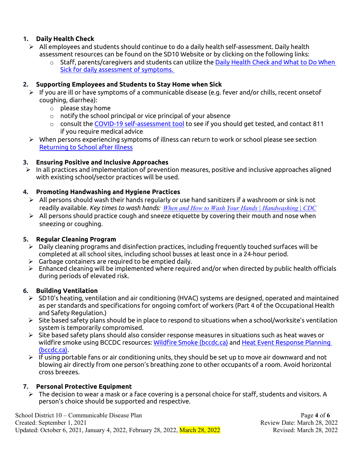#### <span id="page-3-0"></span>**1. Daily Health Check**

- $\triangleright$  All employees and students should continue to do a daily health self-assessment. Daily health assessment resources can be found on the SD10 Website or by clicking on the following links:
	- o Staff, parents/caregivers and students can utilize the [Daily Health Check and What to Do](https://www2.gov.bc.ca/assets/gov/education/kindergarten-to-grade-12/covid/daily-health-check-english.pdf) When [Sick for daily assessment](https://www2.gov.bc.ca/assets/gov/education/kindergarten-to-grade-12/covid/daily-health-check-english.pdf) of symptoms.

#### <span id="page-3-1"></span>**2. Supporting Employees and Students to Stay Home when Sick**

- $\triangleright$  If you are ill or have symptoms of a communicable disease (e.g. fever and/or chills, recent onsetof coughing, diarrhea):
	- $\circ$  please stay home
	- $\circ$  notify the school principal or vice principal of your absence
	- $\circ$  consult the [COVID-19 self-assessment tool](https://bc.thrive.health/) to see if you should get tested, and contact 811 if you require medical advice
- $\triangleright$  When persons experiencing symptoms of illness can return to work or school please see section [Returning to School after Illness](#page-5-2)

#### <span id="page-3-2"></span>**3. Ensuring Positive and Inclusive Approaches**

 $\triangleright$  In all practices and implementation of prevention measures, positive and inclusive approaches aligned with existing school/sector practices will be used.

#### <span id="page-3-3"></span>**4. Promoting Handwashing and Hygiene Practices**

- $\triangleright$  All persons should wash their hands regularly or use hand sanitizers if a washroom or sink is not readily available. *Key times to wash hands: [When and How to Wash Your Hands | Handwashing | CDC](https://www.cdc.gov/handwashing/when-how-handwashing.html)*
- $\triangleright$  All persons should practice cough and sneeze etiquette by covering their mouth and nose when sneezing or coughing.

#### <span id="page-3-4"></span>**5. Regular Cleaning Program**

- $\triangleright$  Daily cleaning programs and disinfection practices, including frequently touched surfaces will be completed at all school sites, including school busses at least once in a 24-hour period.
- $\triangleright$  Garbage containers are required to be emptied daily.
- $\triangleright$  Enhanced cleaning will be implemented where required and/or when directed by public health officials during periods of elevated risk.

#### <span id="page-3-5"></span>**6. Building Ventilation**

- SD10's heating, ventilation and air conditioning (HVAC) systems are designed, operated and maintained as per standards and specifications for ongoing comfort of workers (Part 4 of the Occupational Health and Safety Regulation.)
- $\triangleright$  Site based safety plans should be in place to respond to situations when a school/worksite's ventilation system is temporarily compromised.
- $\triangleright$  Site based safety plans should also consider response measures in situations such as heat waves or wildfire smoke using BCCDC resources: [Wildfire Smoke \(bccdc.ca\)](http://www.bccdc.ca/health-info/prevention-public-health/wildfire-smoke) and Heat Event Response Planning [\(bccdc.ca\).](http://www.bccdc.ca/health-professionals/professional-resources/heat-event-response-planning)
- $\triangleright$  If using portable fans or air conditioning units, they should be set up to move air downward and not blowing air directly from one person's breathing zone to other occupants of a room. Avoid horizontal cross breezes.

#### <span id="page-3-6"></span>**7. Personal Protective Equipment**

 The decision to wear a mask or a face covering is a personal choice for staff, students and visitors. A person's choice should be supported and respective.

School District 10 – Communicable Disease Plan **Page 1** of **6** and Page 4 of **6** Created: September 1, 2021 Review Date: March 28, 2022 Updated: October 6, 2021, January 4, 2022, February 28, 2022, March 28, 2022 Revised: March 28, 2022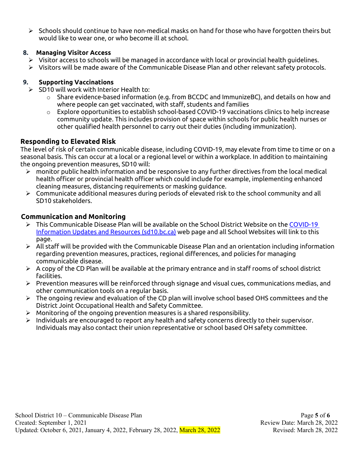$\triangleright$  Schools should continue to have non-medical masks on hand for those who have forgotten theirs but would like to wear one, or who become ill at school.

#### <span id="page-4-0"></span>**8. Managing Visitor Access**

- Visitor access to schools will be managed in accordance with local or provincial health guidelines.
- $\triangleright$  Visitors will be made aware of the Communicable Disease Plan and other relevant safety protocols.

#### <span id="page-4-1"></span>**9. Supporting Vaccinations**

- $\triangleright$  SD10 will work with Interior Health to:
	- $\circ$  Share evidence-based information (e.g. from BCCDC and ImmunizeBC), and details on how and where people can get vaccinated, with staff, students and families
	- $\circ$  Explore opportunities to establish school-based COVID-19 vaccinations clinics to help increase community update. This includes provision of space within schools for public health nurses or other qualified health personnel to carry out their duties (including immunization).

## <span id="page-4-2"></span>**Responding to Elevated Risk**

The level of risk of certain communicable disease, including COVID-19, may elevate from time to time or on a seasonal basis. This can occur at a local or a regional level or within a workplace. In addition to maintaining the ongoing prevention measures, SD10 will:

- $\triangleright$  monitor public health information and be responsive to any further directives from the local medical health officer or provincial health officer which could include for example, implementing enhanced cleaning measures, distancing requirements or masking guidance.
- $\triangleright$  Communicate additional measures during periods of elevated risk to the school community and all SD10 stakeholders.

## <span id="page-4-3"></span>**Communication and Monitoring**

- $\triangleright$  This Communicable Disease Plan will be available on the School District Website on the COVID-19 [Information Updates and Resources \(sd10.bc.ca\)](https://sd10.bc.ca/covid-19-updates-and-resources/) web page and all School Websites will link to this page.
- $\triangleright$  All staff will be provided with the Communicable Disease Plan and an orientation including information regarding prevention measures, practices, regional differences, and policies for managing communicable disease.
- $\triangleright$  A copy of the CD Plan will be available at the primary entrance and in staff rooms of school district facilities.
- $\triangleright$  Prevention measures will be reinforced through signage and visual cues, communications medias, and other communication tools on a regular basis.
- $\triangleright$  The ongoing review and evaluation of the CD plan will involve school based OHS committees and the District Joint Occupational Health and Safety Committee.
- $\triangleright$  Monitoring of the ongoing prevention measures is a shared responsibility.
- $\triangleright$  Individuals are encouraged to report any health and safety concerns directly to their supervisor. Individuals may also contact their union representative or school based OH safety committee.